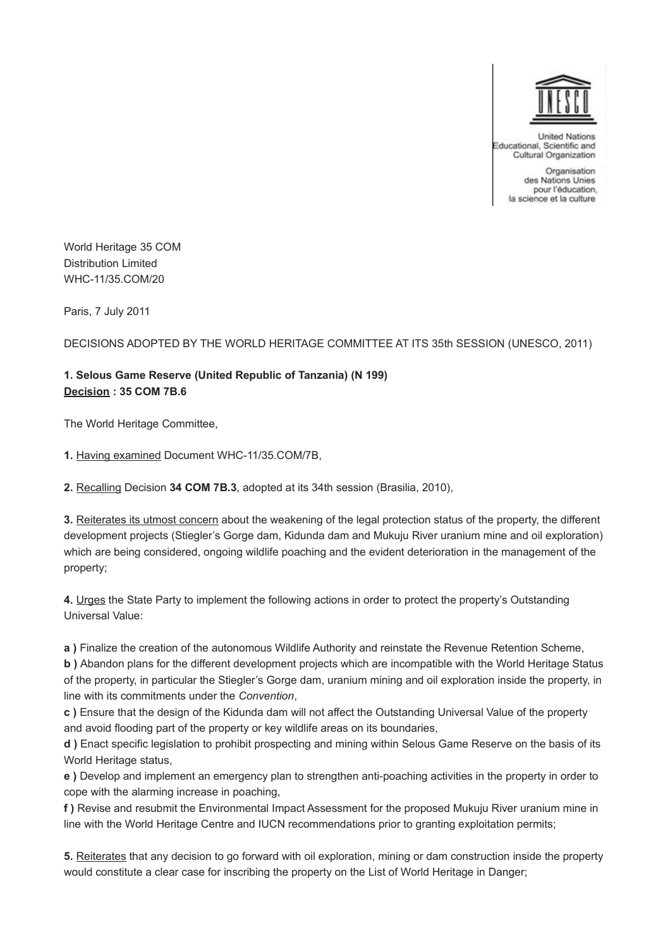

**United Nations** Educational, Scientific and Cultural Organization

> Organisation des Nations Unies pour l'éducation, la science et la culture

World Heritage 35 COM Distribution Limited WHC-11/35.COM/20

Paris, 7 July 2011

DECISIONS ADOPTED BY THE WORLD HERITAGE COMMITTEE AT ITS 35th SESSION (UNESCO, 2011)

## **1. Selous Game Reserve (United Republic of Tanzania) (N 199) Decision : 35 COM 7B.6**

The World Heritage Committee,

**1.** Having examined Document WHC-11/35.COM/7B,

**2.** Recalling Decision **34 COM 7B.3**, adopted at its 34th session (Brasilia, 2010),

**3.** Reiterates its utmost concern about the weakening of the legal protection status of the property, the different development projects (Stiegler's Gorge dam, Kidunda dam and Mukuju River uranium mine and oil exploration) which are being considered, ongoing wildlife poaching and the evident deterioration in the management of the property;

**4.** Urges the State Party to implement the following actions in order to protect the property's Outstanding Universal Value:

**a )** Finalize the creation of the autonomous Wildlife Authority and reinstate the Revenue Retention Scheme,

**b )** Abandon plans for the different development projects which are incompatible with the World Heritage Status of the property, in particular the Stiegler's Gorge dam, uranium mining and oil exploration inside the property, in line with its commitments under the *Convention*,

**c )** Ensure that the design of the Kidunda dam will not affect the Outstanding Universal Value of the property and avoid flooding part of the property or key wildlife areas on its boundaries,

**d )** Enact specific legislation to prohibit prospecting and mining within Selous Game Reserve on the basis of its World Heritage status,

**e )** Develop and implement an emergency plan to strengthen anti-poaching activities in the property in order to cope with the alarming increase in poaching,

**f )** Revise and resubmit the Environmental Impact Assessment for the proposed Mukuju River uranium mine in line with the World Heritage Centre and IUCN recommendations prior to granting exploitation permits;

**5.** Reiterates that any decision to go forward with oil exploration, mining or dam construction inside the property would constitute a clear case for inscribing the property on the List of World Heritage in Danger;